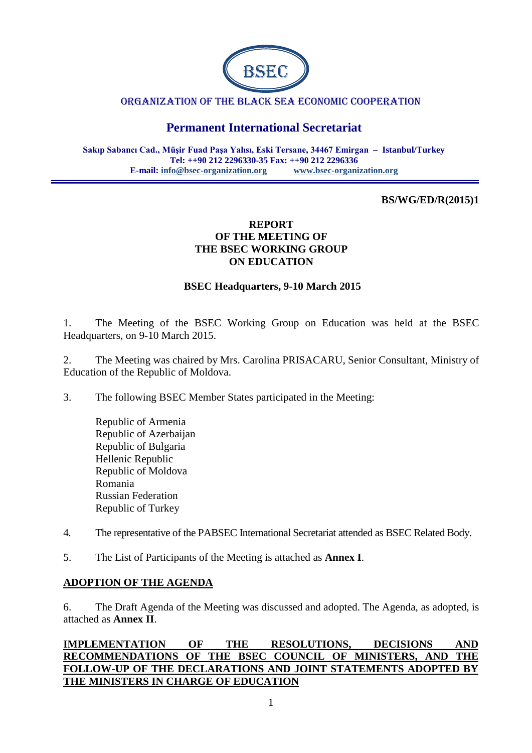

# ORGANIZATION OF THE BLACK SEA ECONOMIC COOPERATION

# **Permanent International Secretariat**

**Sakıp Sabancı Cad., Müşir Fuad Paşa Yalısı, Eski Tersane, 34467 Emirgan – Istanbul/Turkey Tel: ++90 212 2296330-35 Fax: ++90 212 2296336 E-mail: [info@bsec-organization.org](mailto:info@bsec-organization.org) [www.bsec-organization.org](http://www.bsec-organization.org/)**

### **BS/WG/ED/R(2015)1**

### **REPORT OF THE MEETING OF THE BSEC WORKING GROUP ON EDUCATION**

### **BSEC Headquarters, 9-10 March 2015**

1. The Meeting of the BSEC Working Group on Education was held at the BSEC Headquarters, on 9-10 March 2015.

2. The Meeting was chaired by Mrs. Carolina PRISACARU, Senior Consultant, Ministry of Education of the Republic of Moldova.

3. The following BSEC Member States participated in the Meeting:

Republic of Armenia Republic of Azerbaijan Republic of Bulgaria Hellenic Republic Republic of Moldova Romania Russian Federation Republic of Turkey

4. The representative of the PABSEC International Secretariat attended as BSEC Related Body.

5. The List of Participants of the Meeting is attached as **Annex I**.

### **ADOPTION OF THE AGENDA**

6. The Draft Agenda of the Meeting was discussed and adopted. The Agenda, as adopted, is attached as **Annex II**.

**IMPLEMENTATION OF THE RESOLUTIONS, DECISIONS AND RECOMMENDATIONS OF THE BSEC COUNCIL OF MINISTERS, AND THE FOLLOW-UP OF THE DECLARATIONS AND JOINT STATEMENTS ADOPTED BY THE MINISTERS IN CHARGE OF EDUCATION**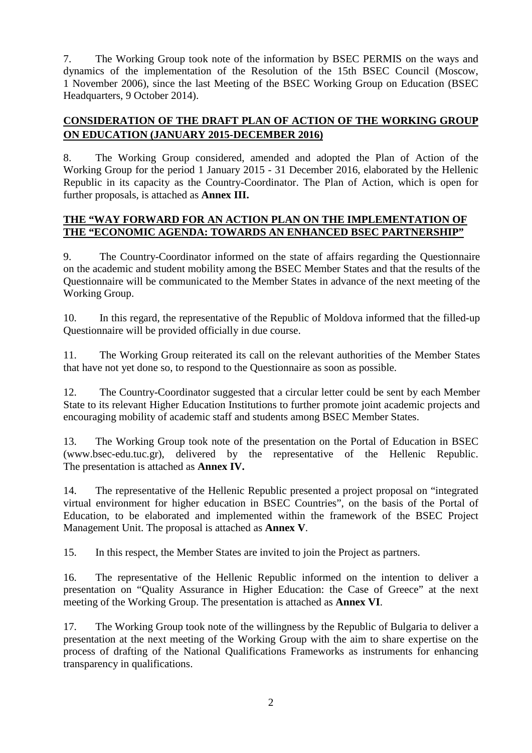7. The Working Group took note of the information by BSEC PERMIS on the ways and dynamics of the implementation of the Resolution of the 15th BSEC Council (Moscow, 1 November 2006), since the last Meeting of the BSEC Working Group on Education (BSEC Headquarters, 9 October 2014).

# **CONSIDERATION OF THE DRAFT PLAN OF ACTION OF THE WORKING GROUP ON EDUCATION (JANUARY 2015-DECEMBER 2016)**

8. The Working Group considered, amended and adopted the Plan of Action of the Working Group for the period 1 January 2015 - 31 December 2016, elaborated by the Hellenic Republic in its capacity as the Country-Coordinator. The Plan of Action, which is open for further proposals, is attached as **Annex III.**

# **THE "WAY FORWARD FOR AN ACTION PLAN ON THE IMPLEMENTATION OF THE "ECONOMIC AGENDA: TOWARDS AN ENHANCED BSEC PARTNERSHIP"**

9. The Country-Coordinator informed on the state of affairs regarding the Questionnaire on the academic and student mobility among the BSEC Member States and that the results of the Questionnaire will be communicated to the Member States in advance of the next meeting of the Working Group.

10. In this regard, the representative of the Republic of Moldova informed that the filled-up Questionnaire will be provided officially in due course.

11. The Working Group reiterated its call on the relevant authorities of the Member States that have not yet done so, to respond to the Questionnaire as soon as possible.

12. The Country-Coordinator suggested that a circular letter could be sent by each Member State to its relevant Higher Education Institutions to further promote joint academic projects and encouraging mobility of academic staff and students among BSEC Member States.

13. The Working Group took note of the presentation on the Portal of Education in BSEC (www.bsec-edu.tuc.gr), delivered by the representative of the Hellenic Republic. The presentation is attached as **Annex IV.**

14. The representative of the Hellenic Republic presented a project proposal on "integrated virtual environment for higher education in BSEC Countries", on the basis of the Portal of Education, to be elaborated and implemented within the framework of the BSEC Project Management Unit. The proposal is attached as **Annex V**.

15. In this respect, the Member States are invited to join the Project as partners.

16. The representative of the Hellenic Republic informed on the intention to deliver a presentation on "Quality Assurance in Higher Education: the Case of Greece" at the next meeting of the Working Group. The presentation is attached as **Annex VI**.

17. The Working Group took note of the willingness by the Republic of Bulgaria to deliver a presentation at the next meeting of the Working Group with the aim to share expertise on the process of drafting of the National Qualifications Frameworks as instruments for enhancing transparency in qualifications.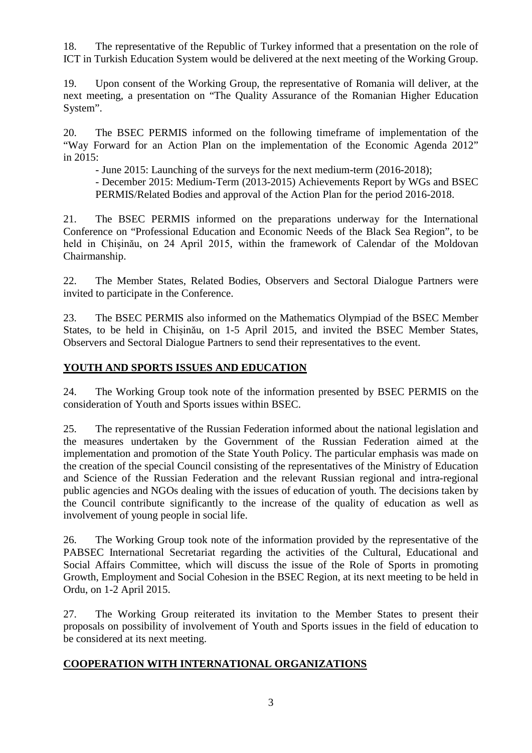18. The representative of the Republic of Turkey informed that a presentation on the role of ICT in Turkish Education System would be delivered at the next meeting of the Working Group.

19. Upon consent of the Working Group, the representative of Romania will deliver, at the next meeting, a presentation on "The Quality Assurance of the Romanian Higher Education System".

20. The BSEC PERMIS informed on the following timeframe of implementation of the "Way Forward for an Action Plan on the implementation of the Economic Agenda 2012" in 2015:

- June 2015: Launching of the surveys for the next medium-term (2016-2018);

- December 2015: Medium-Term (2013-2015) Achievements Report by WGs and BSEC PERMIS/Related Bodies and approval of the Action Plan for the period 2016-2018.

21. The BSEC PERMIS informed on the preparations underway for the International Conference on "Professional Education and Economic Needs of the Black Sea Region", to be held in Chişinău, on 24 April 2015, within the framework of Calendar of the Moldovan Chairmanship.

22. The Member States, Related Bodies, Observers and Sectoral Dialogue Partners were invited to participate in the Conference.

23. The BSEC PERMIS also informed on the Mathematics Olympiad of the BSEC Member States, to be held in Chişinău, on 1-5 April 2015, and invited the BSEC Member States, Observers and Sectoral Dialogue Partners to send their representatives to the event.

### **YOUTH AND SPORTS ISSUES AND EDUCATION**

24. The Working Group took note of the information presented by BSEC PERMIS on the consideration of Youth and Sports issues within BSEC.

25. The representative of the Russian Federation informed about the national legislation and the measures undertaken by the Government of the Russian Federation aimed at the implementation and promotion of the State Youth Policy. The particular emphasis was made on the creation of the special Council consisting of the representatives of the Ministry of Education and Science of the Russian Federation and the relevant Russian regional and intra-regional public agencies and NGOs dealing with the issues of education of youth. The decisions taken by the Council contribute significantly to the increase of the quality of education as well as involvement of young people in social life.

26. The Working Group took note of the information provided by the representative of the PABSEC International Secretariat regarding the activities of the Cultural, Educational and Social Affairs Committee, which will discuss the issue of the Role of Sports in promoting Growth, Employment and Social Cohesion in the BSEC Region, at its next meeting to be held in Ordu, on 1-2 April 2015.

27. The Working Group reiterated its invitation to the Member States to present their proposals on possibility of involvement of Youth and Sports issues in the field of education to be considered at its next meeting.

### **COOPERATION WITH INTERNATIONAL ORGANIZATIONS**